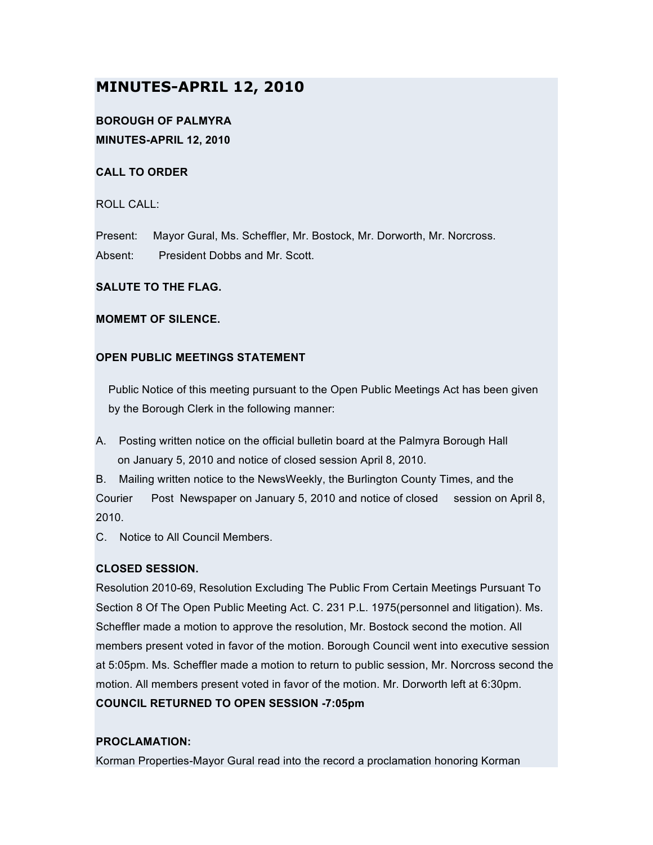# **MINUTES-APRIL 12, 2010**

## **BOROUGH OF PALMYRA MINUTES-APRIL 12, 2010**

## **CALL TO ORDER**

ROLL CALL:

Present: Mayor Gural, Ms. Scheffler, Mr. Bostock, Mr. Dorworth, Mr. Norcross. Absent: President Dobbs and Mr. Scott.

## **SALUTE TO THE FLAG.**

## **MOMEMT OF SILENCE.**

## **OPEN PUBLIC MEETINGS STATEMENT**

Public Notice of this meeting pursuant to the Open Public Meetings Act has been given by the Borough Clerk in the following manner:

A. Posting written notice on the official bulletin board at the Palmyra Borough Hall on January 5, 2010 and notice of closed session April 8, 2010.

B. Mailing written notice to the NewsWeekly, the Burlington County Times, and the Courier Post Newspaper on January 5, 2010 and notice of closed session on April 8, 2010.

C. Notice to All Council Members.

## **CLOSED SESSION.**

Resolution 2010-69, Resolution Excluding The Public From Certain Meetings Pursuant To Section 8 Of The Open Public Meeting Act. C. 231 P.L. 1975(personnel and litigation). Ms. Scheffler made a motion to approve the resolution, Mr. Bostock second the motion. All members present voted in favor of the motion. Borough Council went into executive session at 5:05pm. Ms. Scheffler made a motion to return to public session, Mr. Norcross second the motion. All members present voted in favor of the motion. Mr. Dorworth left at 6:30pm. **COUNCIL RETURNED TO OPEN SESSION -7:05pm**

## **PROCLAMATION:**

Korman Properties-Mayor Gural read into the record a proclamation honoring Korman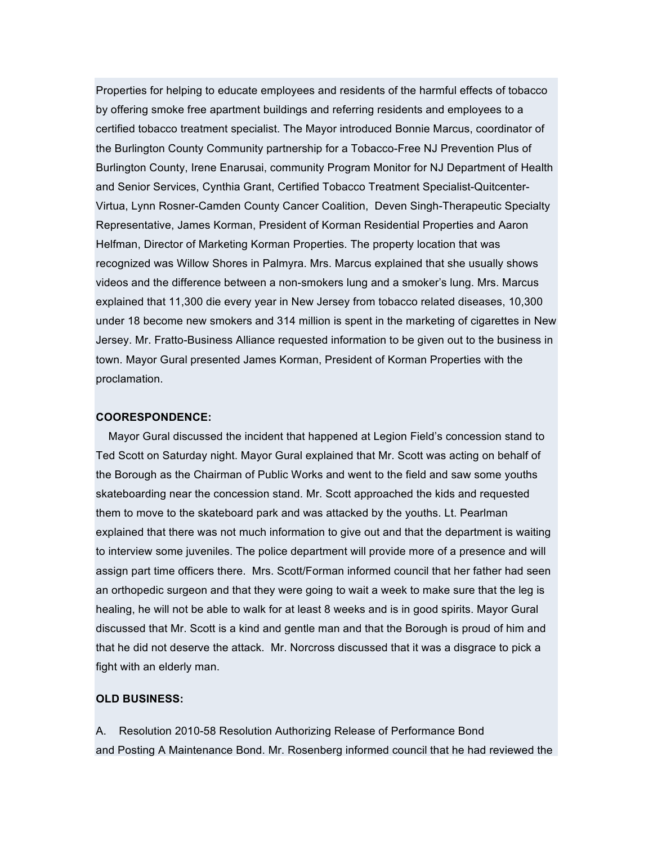Properties for helping to educate employees and residents of the harmful effects of tobacco by offering smoke free apartment buildings and referring residents and employees to a certified tobacco treatment specialist. The Mayor introduced Bonnie Marcus, coordinator of the Burlington County Community partnership for a Tobacco-Free NJ Prevention Plus of Burlington County, Irene Enarusai, community Program Monitor for NJ Department of Health and Senior Services, Cynthia Grant, Certified Tobacco Treatment Specialist-Quitcenter-Virtua, Lynn Rosner-Camden County Cancer Coalition, Deven Singh-Therapeutic Specialty Representative, James Korman, President of Korman Residential Properties and Aaron Helfman, Director of Marketing Korman Properties. The property location that was recognized was Willow Shores in Palmyra. Mrs. Marcus explained that she usually shows videos and the difference between a non-smokers lung and a smoker's lung. Mrs. Marcus explained that 11,300 die every year in New Jersey from tobacco related diseases, 10,300 under 18 become new smokers and 314 million is spent in the marketing of cigarettes in New Jersey. Mr. Fratto-Business Alliance requested information to be given out to the business in town. Mayor Gural presented James Korman, President of Korman Properties with the proclamation.

#### **COORESPONDENCE:**

Mayor Gural discussed the incident that happened at Legion Field's concession stand to Ted Scott on Saturday night. Mayor Gural explained that Mr. Scott was acting on behalf of the Borough as the Chairman of Public Works and went to the field and saw some youths skateboarding near the concession stand. Mr. Scott approached the kids and requested them to move to the skateboard park and was attacked by the youths. Lt. Pearlman explained that there was not much information to give out and that the department is waiting to interview some juveniles. The police department will provide more of a presence and will assign part time officers there. Mrs. Scott/Forman informed council that her father had seen an orthopedic surgeon and that they were going to wait a week to make sure that the leg is healing, he will not be able to walk for at least 8 weeks and is in good spirits. Mayor Gural discussed that Mr. Scott is a kind and gentle man and that the Borough is proud of him and that he did not deserve the attack. Mr. Norcross discussed that it was a disgrace to pick a fight with an elderly man.

#### **OLD BUSINESS:**

A. Resolution 2010-58 Resolution Authorizing Release of Performance Bond and Posting A Maintenance Bond. Mr. Rosenberg informed council that he had reviewed the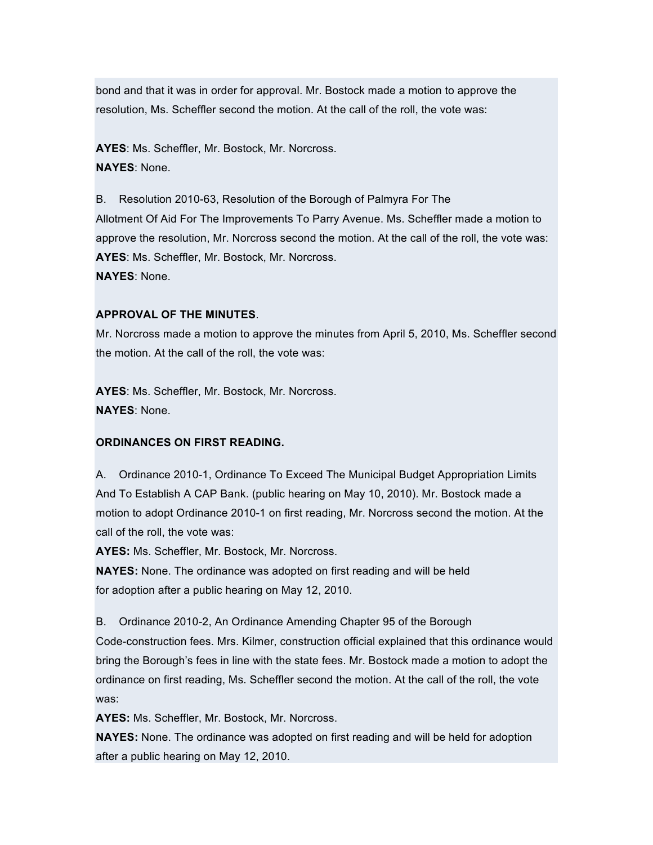bond and that it was in order for approval. Mr. Bostock made a motion to approve the resolution, Ms. Scheffler second the motion. At the call of the roll, the vote was:

**AYES**: Ms. Scheffler, Mr. Bostock, Mr. Norcross. **NAYES**: None.

B. Resolution 2010-63, Resolution of the Borough of Palmyra For The Allotment Of Aid For The Improvements To Parry Avenue. Ms. Scheffler made a motion to approve the resolution, Mr. Norcross second the motion. At the call of the roll, the vote was: **AYES**: Ms. Scheffler, Mr. Bostock, Mr. Norcross. **NAYES**: None.

## **APPROVAL OF THE MINUTES**.

Mr. Norcross made a motion to approve the minutes from April 5, 2010, Ms. Scheffler second the motion. At the call of the roll, the vote was:

**AYES**: Ms. Scheffler, Mr. Bostock, Mr. Norcross. **NAYES**: None.

#### **ORDINANCES ON FIRST READING.**

A. Ordinance 2010-1, Ordinance To Exceed The Municipal Budget Appropriation Limits And To Establish A CAP Bank. (public hearing on May 10, 2010). Mr. Bostock made a motion to adopt Ordinance 2010-1 on first reading, Mr. Norcross second the motion. At the call of the roll, the vote was:

**AYES:** Ms. Scheffler, Mr. Bostock, Mr. Norcross.

**NAYES:** None. The ordinance was adopted on first reading and will be held for adoption after a public hearing on May 12, 2010.

B. Ordinance 2010-2, An Ordinance Amending Chapter 95 of the Borough

Code-construction fees. Mrs. Kilmer, construction official explained that this ordinance would bring the Borough's fees in line with the state fees. Mr. Bostock made a motion to adopt the ordinance on first reading, Ms. Scheffler second the motion. At the call of the roll, the vote was:

**AYES:** Ms. Scheffler, Mr. Bostock, Mr. Norcross.

**NAYES:** None. The ordinance was adopted on first reading and will be held for adoption after a public hearing on May 12, 2010.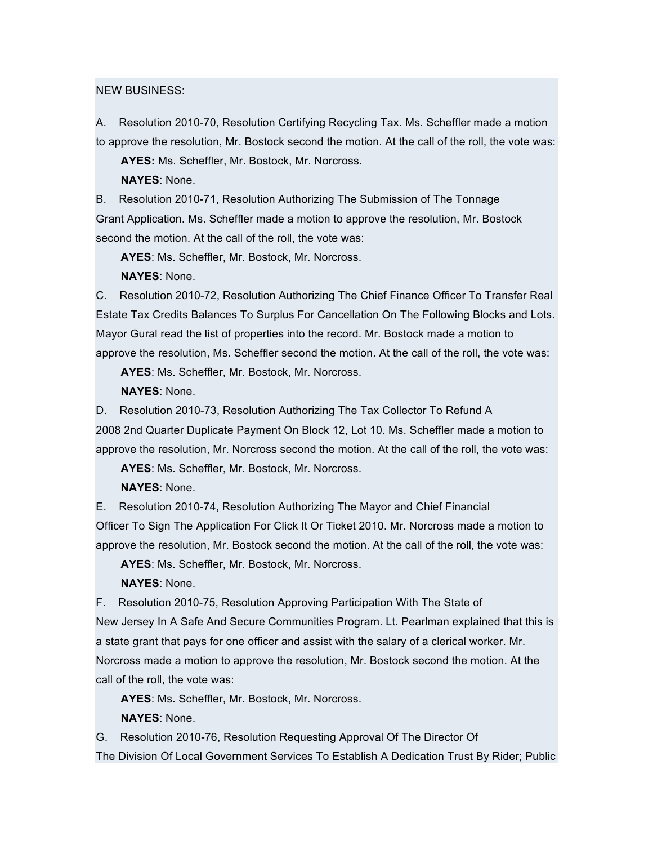#### NEW BUSINESS:

A. Resolution 2010-70, Resolution Certifying Recycling Tax. Ms. Scheffler made a motion to approve the resolution, Mr. Bostock second the motion. At the call of the roll, the vote was:

**AYES:** Ms. Scheffler, Mr. Bostock, Mr. Norcross.

**NAYES**: None.

B. Resolution 2010-71, Resolution Authorizing The Submission of The Tonnage Grant Application. Ms. Scheffler made a motion to approve the resolution, Mr. Bostock second the motion. At the call of the roll, the vote was:

**AYES**: Ms. Scheffler, Mr. Bostock, Mr. Norcross.

**NAYES**: None.

C. Resolution 2010-72, Resolution Authorizing The Chief Finance Officer To Transfer Real Estate Tax Credits Balances To Surplus For Cancellation On The Following Blocks and Lots. Mayor Gural read the list of properties into the record. Mr. Bostock made a motion to approve the resolution, Ms. Scheffler second the motion. At the call of the roll, the vote was:

**AYES**: Ms. Scheffler, Mr. Bostock, Mr. Norcross.

**NAYES**: None.

D. Resolution 2010-73, Resolution Authorizing The Tax Collector To Refund A 2008 2nd Quarter Duplicate Payment On Block 12, Lot 10. Ms. Scheffler made a motion to approve the resolution, Mr. Norcross second the motion. At the call of the roll, the vote was:

**AYES**: Ms. Scheffler, Mr. Bostock, Mr. Norcross.

**NAYES**: None.

E. Resolution 2010-74, Resolution Authorizing The Mayor and Chief Financial Officer To Sign The Application For Click It Or Ticket 2010. Mr. Norcross made a motion to approve the resolution, Mr. Bostock second the motion. At the call of the roll, the vote was:

**AYES**: Ms. Scheffler, Mr. Bostock, Mr. Norcross.

**NAYES**: None.

F. Resolution 2010-75, Resolution Approving Participation With The State of New Jersey In A Safe And Secure Communities Program. Lt. Pearlman explained that this is a state grant that pays for one officer and assist with the salary of a clerical worker. Mr. Norcross made a motion to approve the resolution, Mr. Bostock second the motion. At the call of the roll, the vote was:

**AYES**: Ms. Scheffler, Mr. Bostock, Mr. Norcross. **NAYES**: None.

G. Resolution 2010-76, Resolution Requesting Approval Of The Director Of

The Division Of Local Government Services To Establish A Dedication Trust By Rider; Public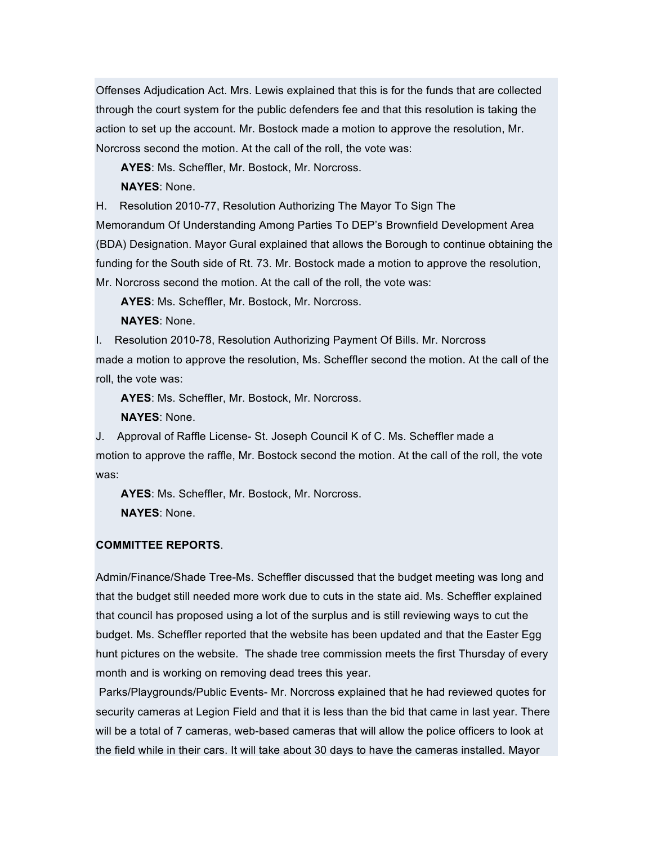Offenses Adjudication Act. Mrs. Lewis explained that this is for the funds that are collected through the court system for the public defenders fee and that this resolution is taking the action to set up the account. Mr. Bostock made a motion to approve the resolution, Mr. Norcross second the motion. At the call of the roll, the vote was:

**AYES**: Ms. Scheffler, Mr. Bostock, Mr. Norcross. **NAYES**: None.

H. Resolution 2010-77, Resolution Authorizing The Mayor To Sign The

Memorandum Of Understanding Among Parties To DEP's Brownfield Development Area (BDA) Designation. Mayor Gural explained that allows the Borough to continue obtaining the funding for the South side of Rt. 73. Mr. Bostock made a motion to approve the resolution, Mr. Norcross second the motion. At the call of the roll, the vote was:

**AYES**: Ms. Scheffler, Mr. Bostock, Mr. Norcross.

**NAYES**: None.

I. Resolution 2010-78, Resolution Authorizing Payment Of Bills. Mr. Norcross made a motion to approve the resolution, Ms. Scheffler second the motion. At the call of the roll, the vote was:

**AYES**: Ms. Scheffler, Mr. Bostock, Mr. Norcross.

**NAYES**: None.

J. Approval of Raffle License- St. Joseph Council K of C. Ms. Scheffler made a motion to approve the raffle, Mr. Bostock second the motion. At the call of the roll, the vote was:

**AYES**: Ms. Scheffler, Mr. Bostock, Mr. Norcross. **NAYES**: None.

## **COMMITTEE REPORTS**.

Admin/Finance/Shade Tree-Ms. Scheffler discussed that the budget meeting was long and that the budget still needed more work due to cuts in the state aid. Ms. Scheffler explained that council has proposed using a lot of the surplus and is still reviewing ways to cut the budget. Ms. Scheffler reported that the website has been updated and that the Easter Egg hunt pictures on the website. The shade tree commission meets the first Thursday of every month and is working on removing dead trees this year.

Parks/Playgrounds/Public Events- Mr. Norcross explained that he had reviewed quotes for security cameras at Legion Field and that it is less than the bid that came in last year. There will be a total of 7 cameras, web-based cameras that will allow the police officers to look at the field while in their cars. It will take about 30 days to have the cameras installed. Mayor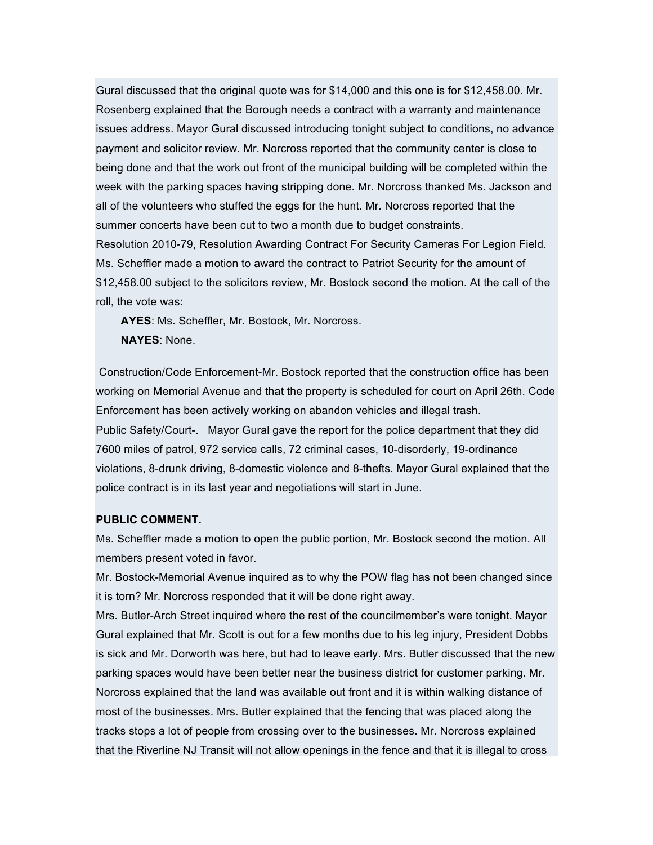Gural discussed that the original quote was for \$14,000 and this one is for \$12,458.00. Mr. Rosenberg explained that the Borough needs a contract with a warranty and maintenance issues address. Mayor Gural discussed introducing tonight subject to conditions, no advance payment and solicitor review. Mr. Norcross reported that the community center is close to being done and that the work out front of the municipal building will be completed within the week with the parking spaces having stripping done. Mr. Norcross thanked Ms. Jackson and all of the volunteers who stuffed the eggs for the hunt. Mr. Norcross reported that the summer concerts have been cut to two a month due to budget constraints. Resolution 2010-79, Resolution Awarding Contract For Security Cameras For Legion Field. Ms. Scheffler made a motion to award the contract to Patriot Security for the amount of \$12,458.00 subject to the solicitors review, Mr. Bostock second the motion. At the call of the

roll, the vote was:

**AYES**: Ms. Scheffler, Mr. Bostock, Mr. Norcross. **NAYES**: None.

Construction/Code Enforcement-Mr. Bostock reported that the construction office has been working on Memorial Avenue and that the property is scheduled for court on April 26th. Code Enforcement has been actively working on abandon vehicles and illegal trash. Public Safety/Court-. Mayor Gural gave the report for the police department that they did 7600 miles of patrol, 972 service calls, 72 criminal cases, 10-disorderly, 19-ordinance violations, 8-drunk driving, 8-domestic violence and 8-thefts. Mayor Gural explained that the police contract is in its last year and negotiations will start in June.

#### **PUBLIC COMMENT.**

Ms. Scheffler made a motion to open the public portion, Mr. Bostock second the motion. All members present voted in favor.

Mr. Bostock-Memorial Avenue inquired as to why the POW flag has not been changed since it is torn? Mr. Norcross responded that it will be done right away.

Mrs. Butler-Arch Street inquired where the rest of the councilmember's were tonight. Mayor Gural explained that Mr. Scott is out for a few months due to his leg injury, President Dobbs is sick and Mr. Dorworth was here, but had to leave early. Mrs. Butler discussed that the new parking spaces would have been better near the business district for customer parking. Mr. Norcross explained that the land was available out front and it is within walking distance of most of the businesses. Mrs. Butler explained that the fencing that was placed along the tracks stops a lot of people from crossing over to the businesses. Mr. Norcross explained that the Riverline NJ Transit will not allow openings in the fence and that it is illegal to cross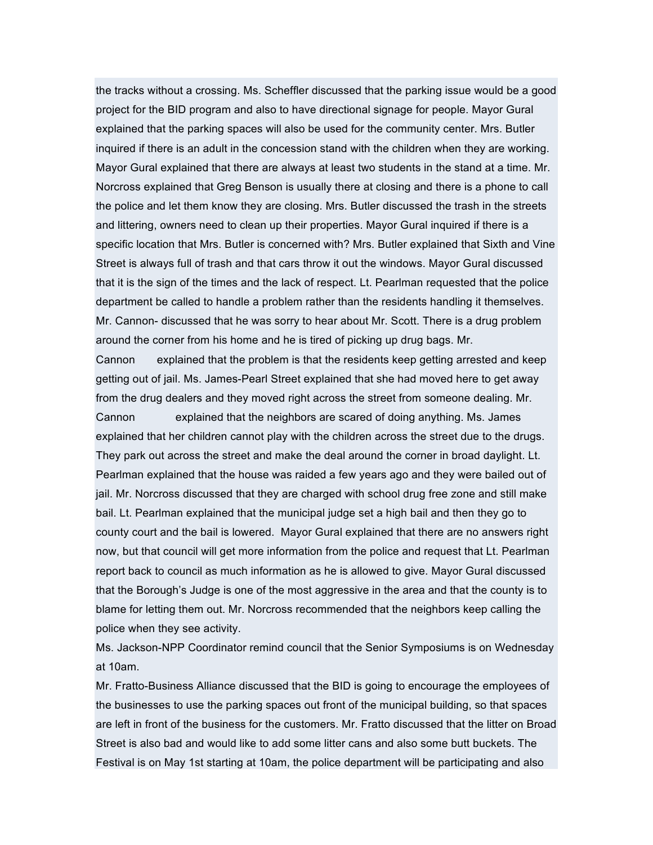the tracks without a crossing. Ms. Scheffler discussed that the parking issue would be a good project for the BID program and also to have directional signage for people. Mayor Gural explained that the parking spaces will also be used for the community center. Mrs. Butler inquired if there is an adult in the concession stand with the children when they are working. Mayor Gural explained that there are always at least two students in the stand at a time. Mr. Norcross explained that Greg Benson is usually there at closing and there is a phone to call the police and let them know they are closing. Mrs. Butler discussed the trash in the streets and littering, owners need to clean up their properties. Mayor Gural inquired if there is a specific location that Mrs. Butler is concerned with? Mrs. Butler explained that Sixth and Vine Street is always full of trash and that cars throw it out the windows. Mayor Gural discussed that it is the sign of the times and the lack of respect. Lt. Pearlman requested that the police department be called to handle a problem rather than the residents handling it themselves. Mr. Cannon- discussed that he was sorry to hear about Mr. Scott. There is a drug problem around the corner from his home and he is tired of picking up drug bags. Mr.

Cannon explained that the problem is that the residents keep getting arrested and keep getting out of jail. Ms. James-Pearl Street explained that she had moved here to get away from the drug dealers and they moved right across the street from someone dealing. Mr.

Cannon explained that the neighbors are scared of doing anything. Ms. James explained that her children cannot play with the children across the street due to the drugs. They park out across the street and make the deal around the corner in broad daylight. Lt. Pearlman explained that the house was raided a few years ago and they were bailed out of jail. Mr. Norcross discussed that they are charged with school drug free zone and still make bail. Lt. Pearlman explained that the municipal judge set a high bail and then they go to county court and the bail is lowered. Mayor Gural explained that there are no answers right now, but that council will get more information from the police and request that Lt. Pearlman report back to council as much information as he is allowed to give. Mayor Gural discussed that the Borough's Judge is one of the most aggressive in the area and that the county is to blame for letting them out. Mr. Norcross recommended that the neighbors keep calling the police when they see activity.

Ms. Jackson-NPP Coordinator remind council that the Senior Symposiums is on Wednesday at 10am.

Mr. Fratto-Business Alliance discussed that the BID is going to encourage the employees of the businesses to use the parking spaces out front of the municipal building, so that spaces are left in front of the business for the customers. Mr. Fratto discussed that the litter on Broad Street is also bad and would like to add some litter cans and also some butt buckets. The Festival is on May 1st starting at 10am, the police department will be participating and also